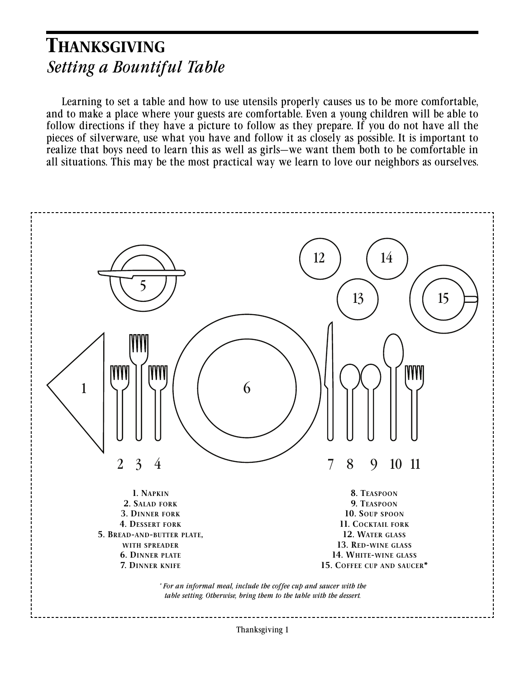### THANKSGIVING *Setting a Bountiful Table*

Learning to set a table and how to use utensils properly causes us to be more comfortable, and to make a place where your guests are comfortable. Even a young children will be able to follow directions if they have a picture to follow as they prepare. If you do not have all the pieces of silverware, use what you have and follow it as closely as possible. It is important to realize that boys need to learn this as well as girls—we want them both to be comfortable in all situations. This may be the most practical way we learn to love our neighbors as ourselves.

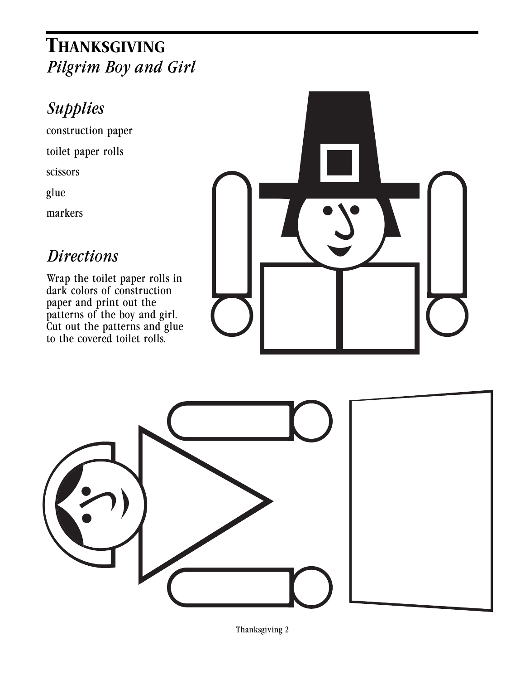## THANKSGIVING *Pilgrim Boy and Girl*

## *Supplies*

construction paper toilet paper rolls scissors glue markers

#### *Directions*

Wrap the toilet paper rolls in dark colors of construction paper and print out the patterns of the boy and girl. Cut out the patterns and glue to the covered toilet rolls.



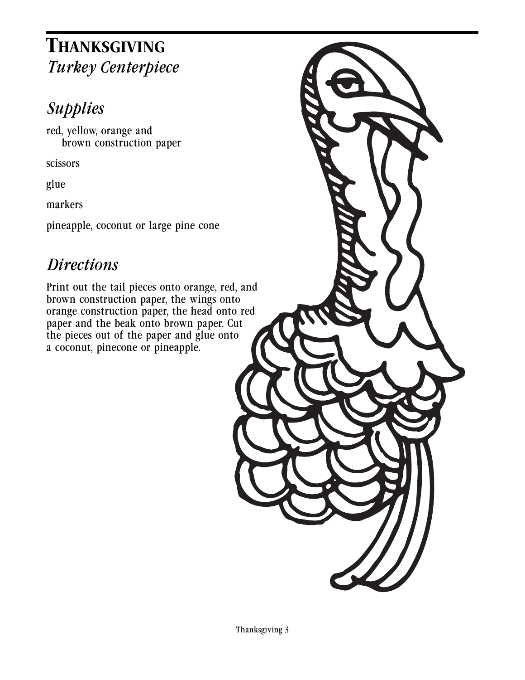## THANKSGIVING *Turkey Centerpiece*

# *Supplies*

red, yellow, orange and brown construction paper

scissors

glue

markers

pineapple, coconut or large pine cone

### *Directions*

Print out the tail pieces onto orange, red, and brown construction paper, the wings onto orange construction paper, the head onto red paper and the beak onto brown paper. Cut the pieces out of the paper and glue onto a coconut, pinecone or pineapple.

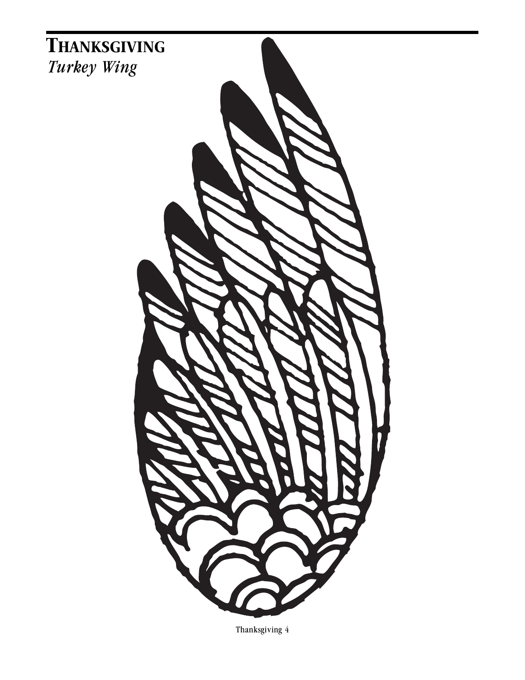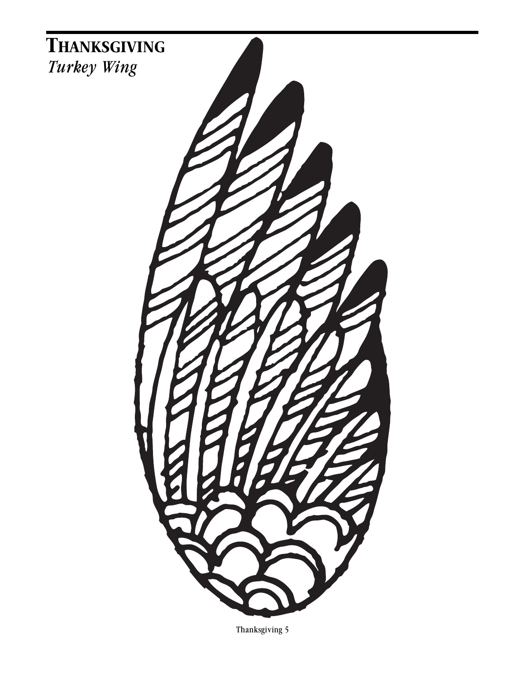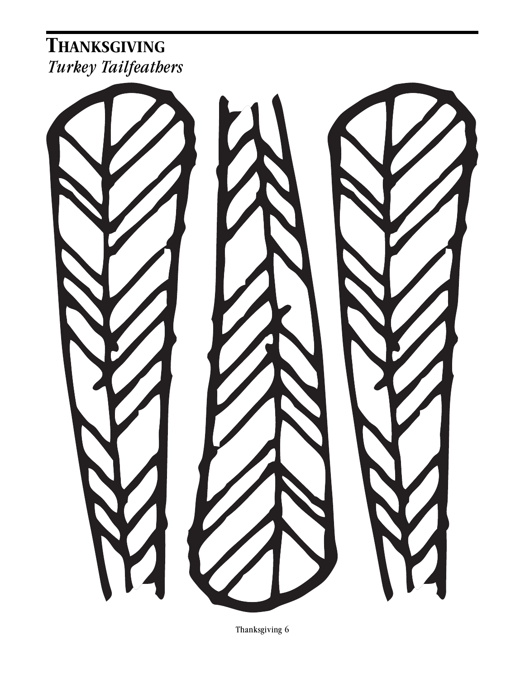